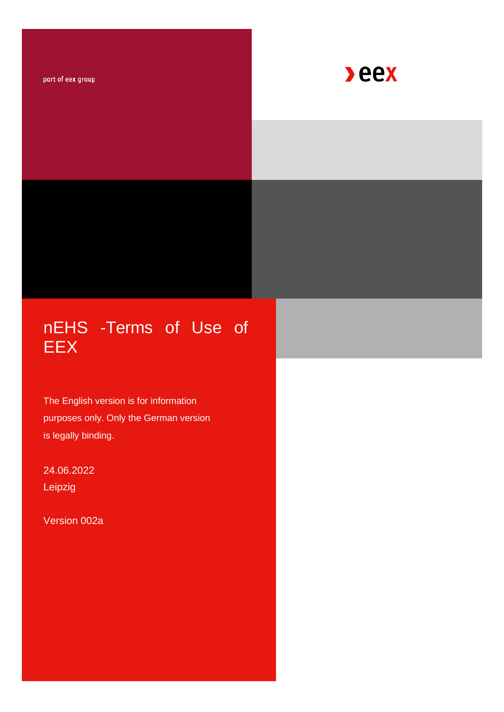part of eex group



# nEHS -Terms of Use of EEX

The English version is for information purposes only. Only the German version is legally binding.

24.06.2022 Leipzig

Version 002a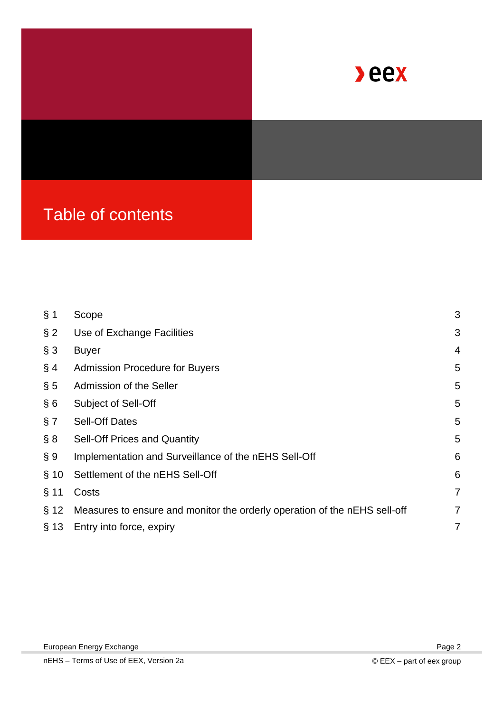

| § 1    | Scope                                                                     | 3 |
|--------|---------------------------------------------------------------------------|---|
| $§$ 2  | Use of Exchange Facilities                                                | 3 |
| § 3    | <b>Buyer</b>                                                              | 4 |
| § 4    | <b>Admission Procedure for Buyers</b>                                     | 5 |
| $\S$ 5 | Admission of the Seller                                                   | 5 |
| § 6    | <b>Subject of Sell-Off</b>                                                | 5 |
| § 7    | <b>Sell-Off Dates</b>                                                     | 5 |
| § 8    | <b>Sell-Off Prices and Quantity</b>                                       | 5 |
| § 9    | Implementation and Surveillance of the nEHS Sell-Off                      | 6 |
| § 10   | Settlement of the nEHS Sell-Off                                           | 6 |
| $§$ 11 | Costs                                                                     | 7 |
| § 12   | Measures to ensure and monitor the orderly operation of the nEHS sell-off | 7 |
| § 13   | Entry into force, expiry                                                  | 7 |
|        |                                                                           |   |

Page 2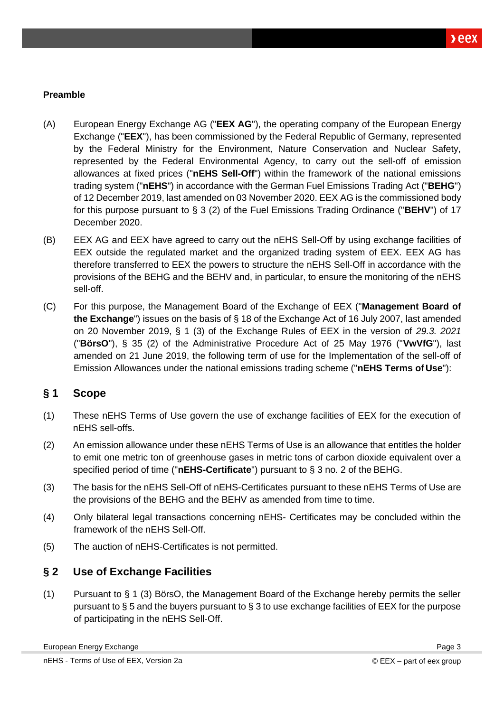#### **Preamble**

- (A) European Energy Exchange AG ("**EEX AG**"), the operating company of the European Energy Exchange ("**EEX**"), has been commissioned by the Federal Republic of Germany, represented by the Federal Ministry for the Environment, Nature Conservation and Nuclear Safety, represented by the Federal Environmental Agency, to carry out the sell-off of emission allowances at fixed prices ("**nEHS Sell-Off**") within the framework of the national emissions trading system ("**nEHS**") in accordance with the German Fuel Emissions Trading Act ("**BEHG**") of 12 December 2019, last amended on 03 November 2020. EEX AG is the commissioned body for this purpose pursuant to § 3 (2) of the Fuel Emissions Trading Ordinance ("**BEHV**") of 17 December 2020.
- (B) EEX AG and EEX have agreed to carry out the nEHS Sell-Off by using exchange facilities of EEX outside the regulated market and the organized trading system of EEX. EEX AG has therefore transferred to EEX the powers to structure the nEHS Sell-Off in accordance with the provisions of the BEHG and the BEHV and, in particular, to ensure the monitoring of the nEHS sell-off.
- (C) For this purpose, the Management Board of the Exchange of EEX ("**Management Board of the Exchange**") issues on the basis of § 18 of the Exchange Act of 16 July 2007, last amended on 20 November 2019, § 1 (3) of the Exchange Rules of EEX in the version of *29.3. 2021*  ("**BörsO**"), § 35 (2) of the Administrative Procedure Act of 25 May 1976 ("**VwVfG**"), last amended on 21 June 2019, the following term of use for the Implementation of the sell-off of Emission Allowances under the national emissions trading scheme ("**nEHS Terms of Use**"):

#### <span id="page-2-0"></span>**§ 1 Scope**

- (1) These nEHS Terms of Use govern the use of exchange facilities of EEX for the execution of nEHS sell-offs.
- (2) An emission allowance under these nEHS Terms of Use is an allowance that entitles the holder to emit one metric ton of greenhouse gases in metric tons of carbon dioxide equivalent over a specified period of time ("**nEHS-Certificate**") pursuant to § 3 no. 2 of the BEHG.
- (3) The basis for the nEHS Sell-Off of nEHS-Certificates pursuant to these nEHS Terms of Use are the provisions of the BEHG and the BEHV as amended from time to time.
- (4) Only bilateral legal transactions concerning nEHS- Certificates may be concluded within the framework of the nEHS Sell-Off.
- (5) The auction of nEHS-Certificates is not permitted.

#### <span id="page-2-1"></span>**§ 2 Use of Exchange Facilities**

(1) Pursuant to § 1 (3) BörsO, the Management Board of the Exchange hereby permits the seller pursuant to § 5 and the buyers pursuant to § 3 to use exchange facilities of EEX for the purpose of participating in the nEHS Sell-Off.

Page 3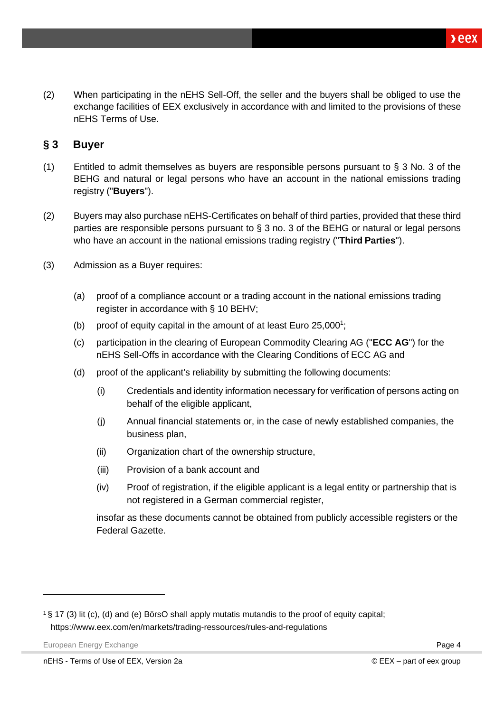(2) When participating in the nEHS Sell-Off, the seller and the buyers shall be obliged to use the exchange facilities of EEX exclusively in accordance with and limited to the provisions of these nEHS Terms of Use.

#### <span id="page-3-0"></span>**§ 3 Buyer**

- (1) Entitled to admit themselves as buyers are responsible persons pursuant to § 3 No. 3 of the BEHG and natural or legal persons who have an account in the national emissions trading registry ("**Buyers**").
- (2) Buyers may also purchase nEHS-Certificates on behalf of third parties, provided that these third parties are responsible persons pursuant to § 3 no. 3 of the BEHG or natural or legal persons who have an account in the national emissions trading registry ("**Third Parties**").
- (3) Admission as a Buyer requires:
	- (a) proof of a compliance account or a trading account in the national emissions trading register in accordance with § 10 BEHV;
	- (b) proof of equity capital in the amount of at least Euro  $25,000^1$  $25,000^1$ ;
	- (c) participation in the clearing of European Commodity Clearing AG ("**ECC AG**") for the nEHS Sell-Offs in accordance with the Clearing Conditions of ECC AG and
	- (d) proof of the applicant's reliability by submitting the following documents:
		- (i) Credentials and identity information necessary for verification of persons acting on behalf of the eligible applicant,
		- (j) Annual financial statements or, in the case of newly established companies, the business plan,
		- (ii) Organization chart of the ownership structure,
		- (iii) Provision of a bank account and
		- (iv) Proof of registration, if the eligible applicant is a legal entity or partnership that is not registered in a German commercial register,

insofar as these documents cannot be obtained from publicly accessible registers or the Federal Gazette.

European Energy Exchange **Page 4 Page 4 Page 4 Page 4 Page 4 Page 4 Page 4 Page 4 Page 4 Page 4 Page 4 Page 4 Page 4 Page 4 Page 4 Page 4 Page 4 Page 4 Page 4 Page 4 Page 4 Page 4** 

<span id="page-3-1"></span><sup>1</sup>§ 17 (3) lit (c), (d) and (e) BörsO shall apply mutatis mutandis to the proof of equity capital; http[s://www.eex.com/en/markets/trading-ressources/rules-and-regulations](http://www.eex.com/en/markets/trading-ressources/rules-and-regulations)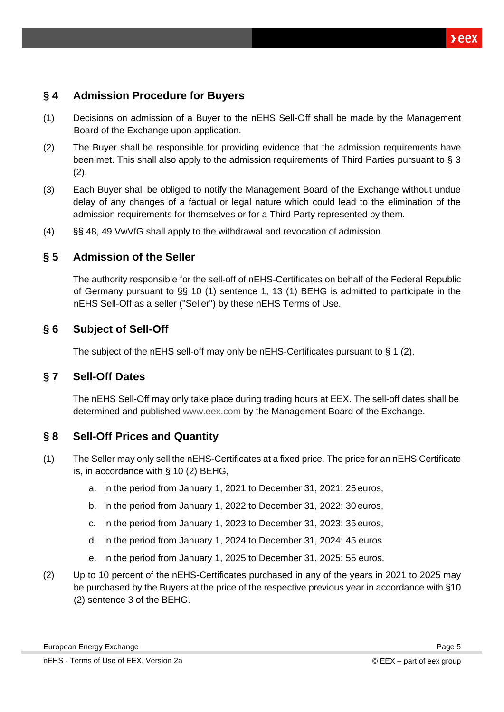## <span id="page-4-0"></span>**§ 4 Admission Procedure for Buyers**

- (1) Decisions on admission of a Buyer to the nEHS Sell-Off shall be made by the Management Board of the Exchange upon application.
- (2) The Buyer shall be responsible for providing evidence that the admission requirements have been met. This shall also apply to the admission requirements of Third Parties pursuant to § 3  $(2).$
- (3) Each Buyer shall be obliged to notify the Management Board of the Exchange without undue delay of any changes of a factual or legal nature which could lead to the elimination of the admission requirements for themselves or for a Third Party represented by them.
- (4) §§ 48, 49 VwVfG shall apply to the withdrawal and revocation of admission.

#### <span id="page-4-1"></span>**§ 5 Admission of the Seller**

The authority responsible for the sell-off of nEHS-Certificates on behalf of the Federal Republic of Germany pursuant to §§ 10 (1) sentence 1, 13 (1) BEHG is admitted to participate in the nEHS Sell-Off as a seller ("Seller") by these nEHS Terms of Use.

#### <span id="page-4-2"></span>**§ 6 Subject of Sell-Off**

The subject of the nEHS sell-off may only be nEHS-Certificates pursuant to § 1 (2).

#### <span id="page-4-3"></span>**§ 7 Sell-Off Dates**

The nEHS Sell-Off may only take place during trading hours at EEX. The sell-off dates shall be determined and published [www.eex.com](http://www.eex.com/) by the Management Board of the Exchange.

#### <span id="page-4-4"></span>**§ 8 Sell-Off Prices and Quantity**

- (1) The Seller may only sell the nEHS-Certificates at a fixed price. The price for an nEHS Certificate is, in accordance with § 10 (2) BEHG,
	- a. in the period from January 1, 2021 to December 31, 2021: 25 euros,
	- b. in the period from January 1, 2022 to December 31, 2022: 30 euros,
	- c. in the period from January 1, 2023 to December 31, 2023: 35 euros,
	- d. in the period from January 1, 2024 to December 31, 2024: 45 euros
	- e. in the period from January 1, 2025 to December 31, 2025: 55 euros.
- (2) Up to 10 percent of the nEHS-Certificates purchased in any of the years in 2021 to 2025 may be purchased by the Buyers at the price of the respective previous year in accordance with §10 (2) sentence 3 of the BEHG.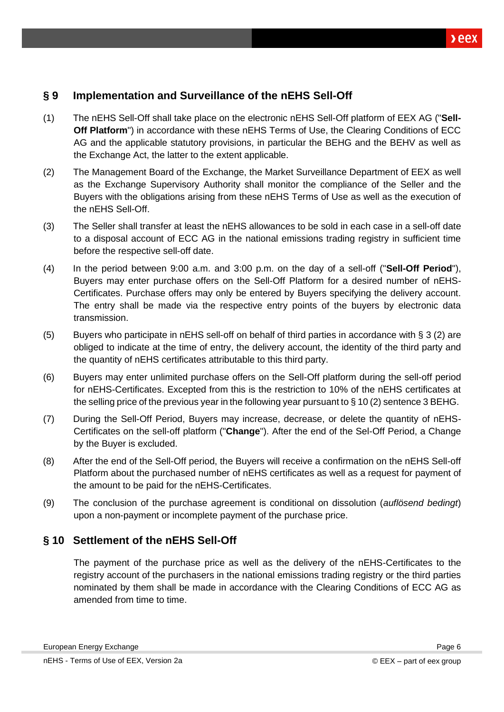#### <span id="page-5-0"></span>**§ 9 Implementation and Surveillance of the nEHS Sell-Off**

- (1) The nEHS Sell-Off shall take place on the electronic nEHS Sell-Off platform of EEX AG ("**Sell-Off Platform**") in accordance with these nEHS Terms of Use, the Clearing Conditions of ECC AG and the applicable statutory provisions, in particular the BEHG and the BEHV as well as the Exchange Act, the latter to the extent applicable.
- (2) The Management Board of the Exchange, the Market Surveillance Department of EEX as well as the Exchange Supervisory Authority shall monitor the compliance of the Seller and the Buyers with the obligations arising from these nEHS Terms of Use as well as the execution of the nEHS Sell-Off.
- (3) The Seller shall transfer at least the nEHS allowances to be sold in each case in a sell-off date to a disposal account of ECC AG in the national emissions trading registry in sufficient time before the respective sell-off date.
- (4) In the period between 9:00 a.m. and 3:00 p.m. on the day of a sell-off ("**Sell-Off Period**"), Buyers may enter purchase offers on the Sell-Off Platform for a desired number of nEHS-Certificates. Purchase offers may only be entered by Buyers specifying the delivery account. The entry shall be made via the respective entry points of the buyers by electronic data transmission.
- (5) Buyers who participate in nEHS sell-off on behalf of third parties in accordance with § 3 (2) are obliged to indicate at the time of entry, the delivery account, the identity of the third party and the quantity of nEHS certificates attributable to this third party.
- (6) Buyers may enter unlimited purchase offers on the Sell-Off platform during the sell-off period for nEHS-Certificates. Excepted from this is the restriction to 10% of the nEHS certificates at the selling price of the previous year in the following year pursuant to § 10 (2) sentence 3 BEHG.
- (7) During the Sell-Off Period, Buyers may increase, decrease, or delete the quantity of nEHS-Certificates on the sell-off platform ("**Change**"). After the end of the Sel-Off Period, a Change by the Buyer is excluded.
- (8) After the end of the Sell-Off period, the Buyers will receive a confirmation on the nEHS Sell-off Platform about the purchased number of nEHS certificates as well as a request for payment of the amount to be paid for the nEHS-Certificates.
- (9) The conclusion of the purchase agreement is conditional on dissolution (*auflösend bedingt*) upon a non-payment or incomplete payment of the purchase price.

#### <span id="page-5-1"></span>**§ 10 Settlement of the nEHS Sell-Off**

The payment of the purchase price as well as the delivery of the nEHS-Certificates to the registry account of the purchasers in the national emissions trading registry or the third parties nominated by them shall be made in accordance with the Clearing Conditions of ECC AG as amended from time to time.

Page 6